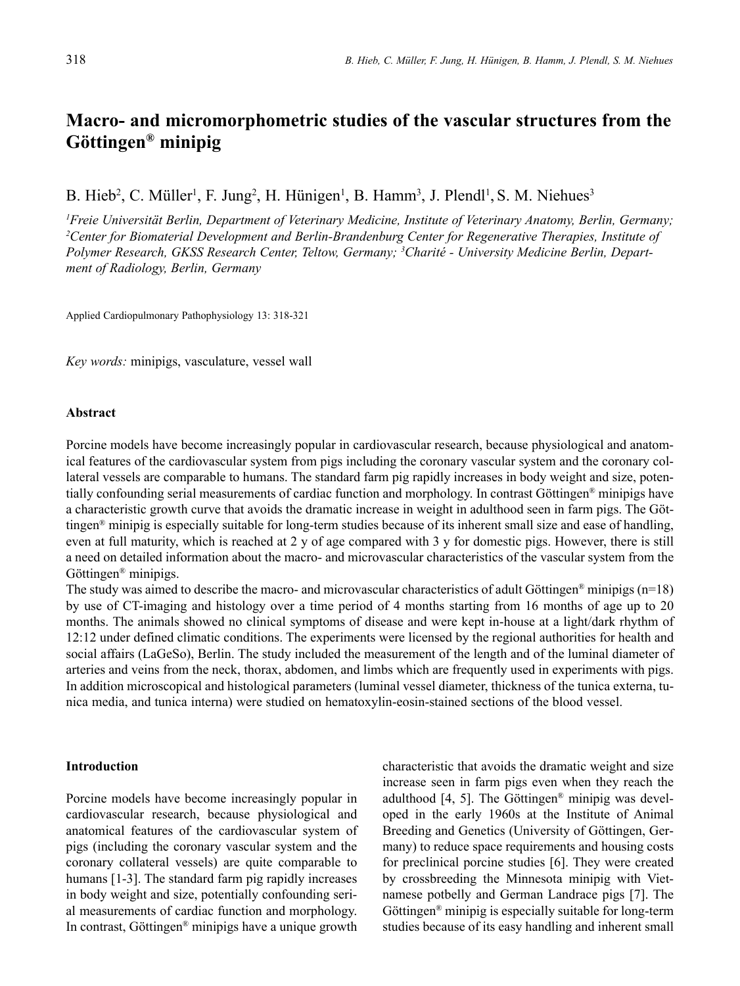# **Macro- and micromorphometric studies of the vascular structures from the Göttingen® minipig**

B. Hieb<sup>2</sup>, C. Müller<sup>1</sup>, F. Jung<sup>2</sup>, H. Hünigen<sup>1</sup>, B. Hamm<sup>3</sup>, J. Plendl<sup>1</sup>, S. M. Niehues<sup>3</sup>

*1 Freie Universität Berlin, Department of Veterinary Medicine, Institute of Veterinary Anatomy, Berlin, Germany; 2 Center for Biomaterial Development and Berlin-Brandenburg Center for Regenerative Therapies, Institute of Polymer Research, GKSS Research Center, Teltow, Germany; 3 Charité - University Medicine Berlin, Department of Radiology, Berlin, Germany*

Applied Cardiopulmonary Pathophysiology 13: 318-321

*Key words:* minipigs, vasculature, vessel wall

#### **Abstract**

Porcine models have become increasingly popular in cardiovascular research, because physiological and anatomical features of the cardiovascular system from pigs including the coronary vascular system and the coronary collateral vessels are comparable to humans. The standard farm pig rapidly increases in body weight and size, potentially confounding serial measurements of cardiac function and morphology. In contrast Göttingen® minipigs have a characteristic growth curve that avoids the dramatic increase in weight in adulthood seen in farm pigs. The Göttingen® minipig is especially suitable for long-term studies because of its inherent small size and ease of handling, even at full maturity, which is reached at 2 y of age compared with 3 y for domestic pigs. However, there is still a need on detailed information about the macro- and microvascular characteristics of the vascular system from the Göttingen® minipigs.

The study was aimed to describe the macro- and microvascular characteristics of adult Göttingen<sup>®</sup> minipigs (n=18) by use of CT-imaging and histology over a time period of 4 months starting from 16 months of age up to 20 months. The animals showed no clinical symptoms of disease and were kept in-house at a light/dark rhythm of 12:12 under defined climatic conditions. The experiments were licensed by the regional authorities for health and social affairs (LaGeSo), Berlin. The study included the measurement of the length and of the luminal diameter of arteries and veins from the neck, thorax, abdomen, and limbs which are frequently used in experiments with pigs. In addition microscopical and histological parameters (luminal vessel diameter, thickness of the tunica externa, tunica media, and tunica interna) were studied on hematoxylin-eosin-stained sections of the blood vessel.

### **Introduction**

Porcine models have become increasingly popular in cardiovascular research, because physiological and anatomical features of the cardiovascular system of pigs (including the coronary vascular system and the coronary collateral vessels) are quite comparable to humans [1-3]. The standard farm pig rapidly increases in body weight and size, potentially confounding serial measurements of cardiac function and morphology. In contrast, Göttingen® minipigs have a unique growth

characteristic that avoids the dramatic weight and size increase seen in farm pigs even when they reach the adulthood [4, 5]. The Göttingen® minipig was developed in the early 1960s at the Institute of Animal Breeding and Genetics (University of Göttingen, Germany) to reduce space requirements and housing costs for preclinical porcine studies [6]. They were created by crossbreeding the Minnesota minipig with Vietnamese potbelly and German Landrace pigs [7]. The Göttingen® minipig is especially suitable for long-term studies because of its easy handling and inherent small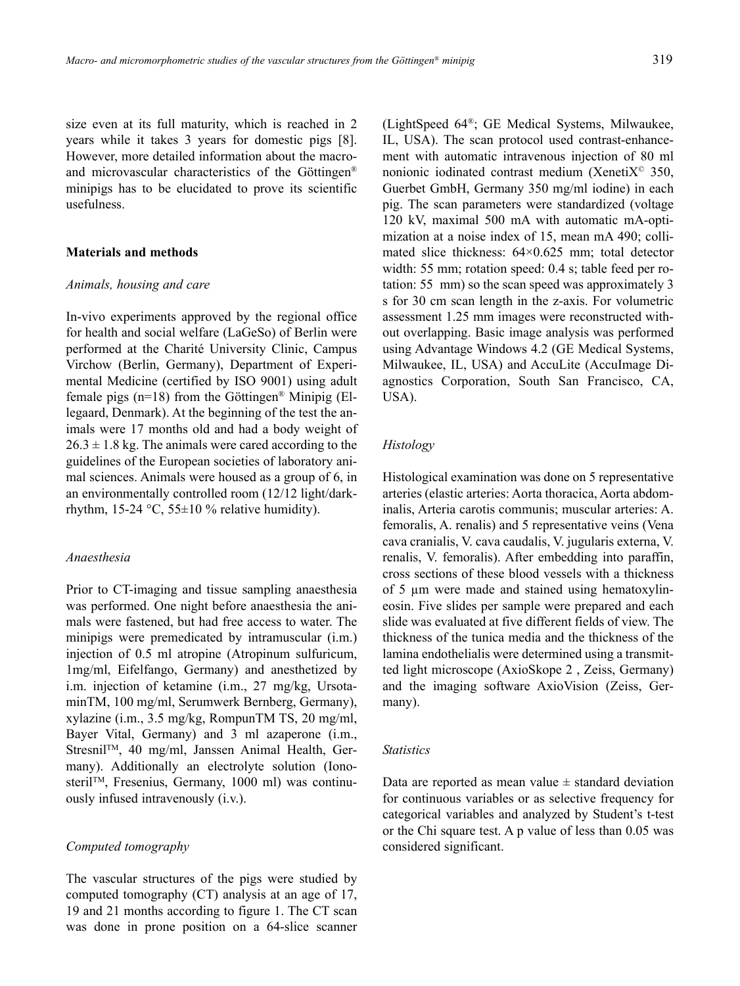size even at its full maturity, which is reached in 2 years while it takes 3 years for domestic pigs [8]. However, more detailed information about the macroand microvascular characteristics of the Göttingen® minipigs has to be elucidated to prove its scientific usefulness.

### **Materials and methods**

#### *Animals, housing and care*

In-vivo experiments approved by the regional office for health and social welfare (LaGeSo) of Berlin were performed at the Charité University Clinic, Campus Virchow (Berlin, Germany), Department of Experimental Medicine (certified by ISO 9001) using adult female pigs (n=18) from the Göttingen® Minipig (Ellegaard, Denmark). At the beginning of the test the animals were 17 months old and had a body weight of  $26.3 \pm 1.8$  kg. The animals were cared according to the guidelines of the European societies of laboratory animal sciences. Animals were housed as a group of 6, in an environmentally controlled room (12/12 light/darkrhythm, 15-24  $\degree$ C, 55 $\pm$ 10 % relative humidity).

# *Anaesthesia*

Prior to CT-imaging and tissue sampling anaesthesia was performed. One night before anaesthesia the animals were fastened, but had free access to water. The minipigs were premedicated by intramuscular (i.m.) injection of 0.5 ml atropine (Atropinum sulfuricum, 1mg/ml, Eifelfango, Germany) and anesthetized by i.m. injection of ketamine (i.m., 27 mg/kg, UrsotaminTM, 100 mg/ml, Serumwerk Bernberg, Germany), xylazine (i.m., 3.5 mg/kg, RompunTM TS, 20 mg/ml, Bayer Vital, Germany) and 3 ml azaperone (i.m., StresnilTM, 40 mg/ml, Janssen Animal Health, Germany). Additionally an electrolyte solution (IonosterilTM, Fresenius, Germany, 1000 ml) was continuously infused intravenously (i.v.).

### *Computed tomography*

The vascular structures of the pigs were studied by computed tomography (CT) analysis at an age of 17, 19 and 21 months according to figure 1. The CT scan was done in prone position on a 64-slice scanner

(LightSpeed 64®; GE Medical Systems, Milwaukee, IL, USA). The scan protocol used contrast-enhancement with automatic intravenous injection of 80 ml nonionic iodinated contrast medium (Xeneti $X^{\odot}$  350, Guerbet GmbH, Germany 350 mg/ml iodine) in each pig. The scan parameters were standardized (voltage 120 kV, maximal 500 mA with automatic mA-optimization at a noise index of 15, mean mA 490; collimated slice thickness: 64×0.625 mm; total detector width: 55 mm; rotation speed: 0.4 s; table feed per rotation: 55 mm) so the scan speed was approximately 3 s for 30 cm scan length in the z-axis. For volumetric assessment 1.25 mm images were reconstructed without overlapping. Basic image analysis was performed using Advantage Windows 4.2 (GE Medical Systems, Milwaukee, IL, USA) and AccuLite (AccuImage Diagnostics Corporation, South San Francisco, CA, USA).

## *Histology*

Histological examination was done on 5 representative arteries (elastic arteries: Aorta thoracica, Aorta abdominalis, Arteria carotis communis; muscular arteries: A. femoralis, A. renalis) and 5 representative veins (Vena cava cranialis, V. cava caudalis, V. jugularis externa, V. renalis, V. femoralis). After embedding into paraffin, cross sections of these blood vessels with a thickness of 5 µm were made and stained using hematoxylineosin. Five slides per sample were prepared and each slide was evaluated at five different fields of view. The thickness of the tunica media and the thickness of the lamina endothelialis were determined using a transmitted light microscope (AxioSkope 2 , Zeiss, Germany) and the imaging software AxioVision (Zeiss, Germany).

## *Statistics*

Data are reported as mean value  $\pm$  standard deviation for continuous variables or as selective frequency for categorical variables and analyzed by Student's t-test or the Chi square test. A p value of less than 0.05 was considered significant.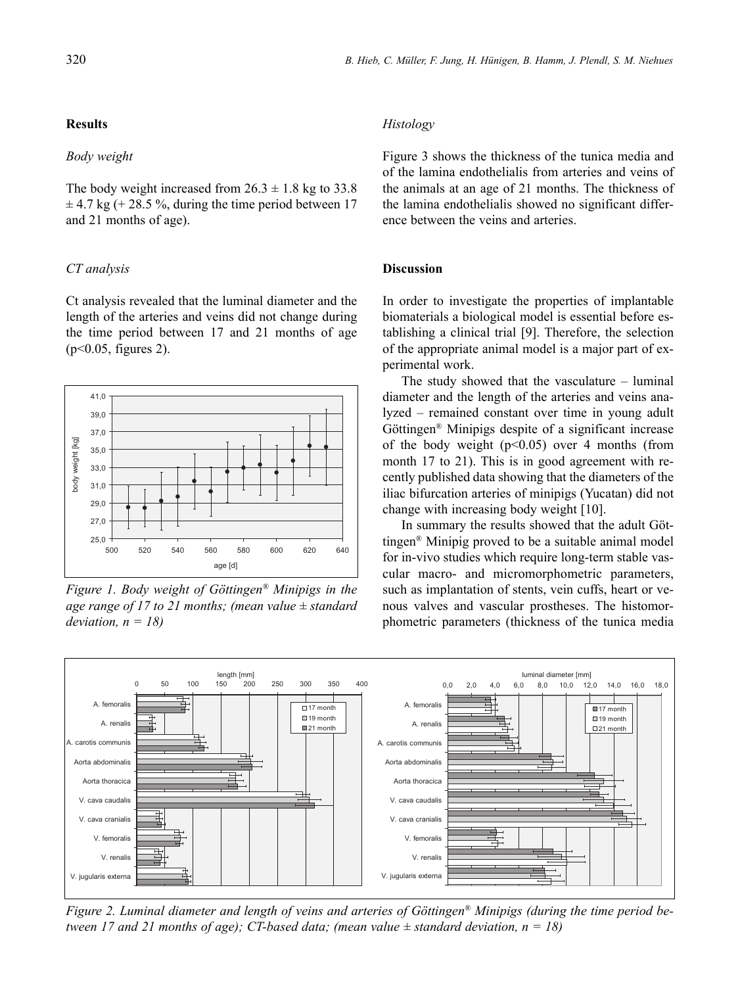# **Results**

## *Body weight*

The body weight increased from  $26.3 \pm 1.8$  kg to 33.8  $\pm$  4.7 kg (+ 28.5 %, during the time period between 17 and 21 months of age).

# *CT analysis*

Ct analysis revealed that the luminal diameter and the length of the arteries and veins did not change during the time period between 17 and 21 months of age (p<0.05, figures 2).



*Figure 1. Body weight of Göttingen® Minipigs in the age range of 17 to 21 months; (mean value ± standard deviation, n = 18)*

## *Histology*

Figure 3 shows the thickness of the tunica media and of the lamina endothelialis from arteries and veins of the animals at an age of 21 months. The thickness of the lamina endothelialis showed no significant difference between the veins and arteries.

# **Discussion**

In order to investigate the properties of implantable biomaterials a biological model is essential before establishing a clinical trial [9]. Therefore, the selection of the appropriate animal model is a major part of experimental work.

The study showed that the vasculature – luminal diameter and the length of the arteries and veins analyzed – remained constant over time in young adult Göttingen® Minipigs despite of a significant increase of the body weight  $(p<0.05)$  over 4 months (from month 17 to 21). This is in good agreement with recently published data showing that the diameters of the iliac bifurcation arteries of minipigs (Yucatan) did not change with increasing body weight [10].

In summary the results showed that the adult Göttingen® Minipig proved to be a suitable animal model for in-vivo studies which require long-term stable vascular macro- and micromorphometric parameters, such as implantation of stents, vein cuffs, heart or venous valves and vascular prostheses. The histomorphometric parameters (thickness of the tunica media



*Figure 2. Luminal diameter and length of veins and arteries of Göttingen® Minipigs (during the time period between 17 and 21 months of age); CT-based data; (mean value*  $\pm$  *standard deviation, n = 18)*